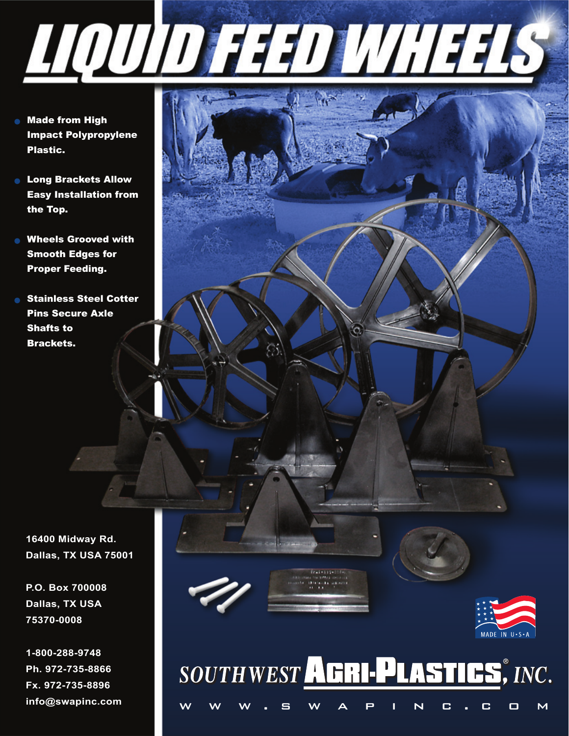- <u> AQUID FED WHELS</u>
- **Made from High** Impact Polypropylene Plastic.
- **Long Brackets Allow** Easy Installation from the Top.
- **Nheels Grooved with** Smooth Edges for Proper Feeding.
- **Stainless Steel Cotter** Pins Secure Axle Shafts to Brackets.

**16400 Midway Rd. Dallas, TX USA 75001**

**P.O. Box 700008 Dallas, TX USA 75370-0008**

**1-800-288-9748 Ph. 972-735-8866 Fx. 972-735-8896 info@swapinc.com**



# SOUTHWEST AGRI-PLASTICS, INC. w w w . swapin c . com

**Advised the Financial Schools**